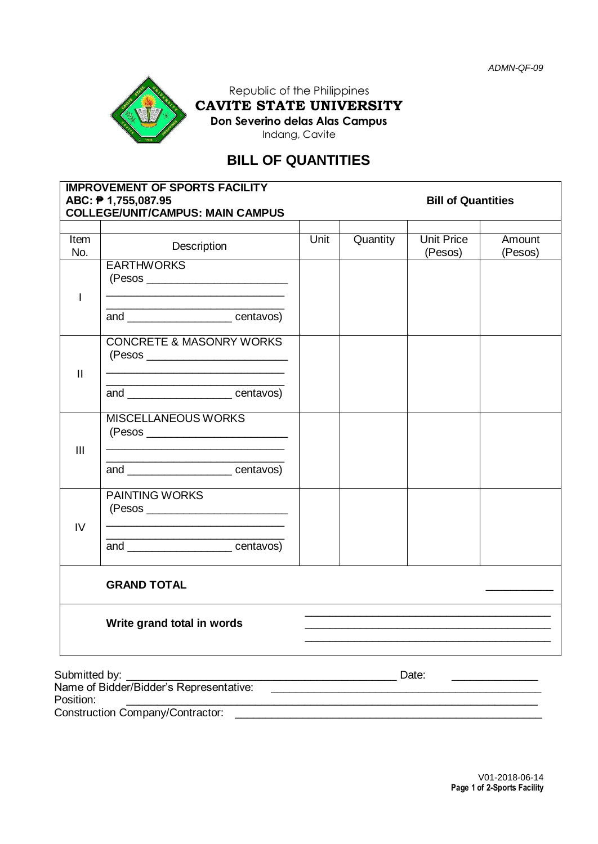

Republic of the Philippines **CAVITE STATE UNIVERSITY Don Severino delas Alas Campus**

Indang, Cavite

# **BILL OF QUANTITIES**

| <b>IMPROVEMENT OF SPORTS FACILITY</b><br>ABC: ₱ 1,755,087.95<br><b>COLLEGE/UNIT/CAMPUS: MAIN CAMPUS</b> |                                                                                                                                                                    | <b>Bill of Quantities</b> |          |                              |                   |
|---------------------------------------------------------------------------------------------------------|--------------------------------------------------------------------------------------------------------------------------------------------------------------------|---------------------------|----------|------------------------------|-------------------|
| Item<br>No.                                                                                             | Description                                                                                                                                                        | Unit                      | Quantity | <b>Unit Price</b><br>(Pesos) | Amount<br>(Pesos) |
| T                                                                                                       | <b>EARTHWORKS</b>                                                                                                                                                  |                           |          |                              |                   |
|                                                                                                         | <u> 1989 - Johann Stoff, deutscher Stoffen und der Stoffen und der Stoffen und der Stoffen und der Stoffen und der </u><br>and _________________________ centavos) |                           |          |                              |                   |
| $\mathbf{H}$                                                                                            | <b>CONCRETE &amp; MASONRY WORKS</b>                                                                                                                                |                           |          |                              |                   |
|                                                                                                         | the control of the control of the control of the control of the control of the control of<br>and ___________________________centavos)                              |                           |          |                              |                   |
| III                                                                                                     | <b>MISCELLANEOUS WORKS</b><br>the contract of the contract of the contract of the contract of the contract of                                                      |                           |          |                              |                   |
|                                                                                                         | <u> 1989 - Johann John Stone, meil er fan de ferske fan de ferske fan de ferske fan de ferske fan de ferske fan </u><br>and <u>example and</u> centavos)           |                           |          |                              |                   |
| IV                                                                                                      | <b>PAINTING WORKS</b>                                                                                                                                              |                           |          |                              |                   |
|                                                                                                         | and ________________________centavos)                                                                                                                              |                           |          |                              |                   |
|                                                                                                         | <b>GRAND TOTAL</b>                                                                                                                                                 |                           |          |                              |                   |
| Write grand total in words                                                                              |                                                                                                                                                                    |                           |          |                              |                   |
|                                                                                                         |                                                                                                                                                                    |                           |          |                              |                   |

Submitted by: \_\_\_\_\_\_\_\_\_\_\_\_\_\_\_\_\_\_\_\_\_\_\_\_\_\_\_\_\_\_\_\_\_\_\_\_\_\_\_\_\_\_\_\_ Date: \_\_\_\_\_\_\_\_\_\_\_\_\_\_

Name of Bidder/Bidder's Representative:<br>Position: Position: \_\_\_\_\_\_\_\_\_\_\_\_\_\_\_\_\_\_\_\_\_\_\_\_\_\_\_\_\_\_\_\_\_\_\_\_\_\_\_\_\_\_\_\_\_\_\_\_\_\_\_\_\_\_\_\_\_\_\_\_\_\_\_\_\_\_\_

Construction Company/Contractor: